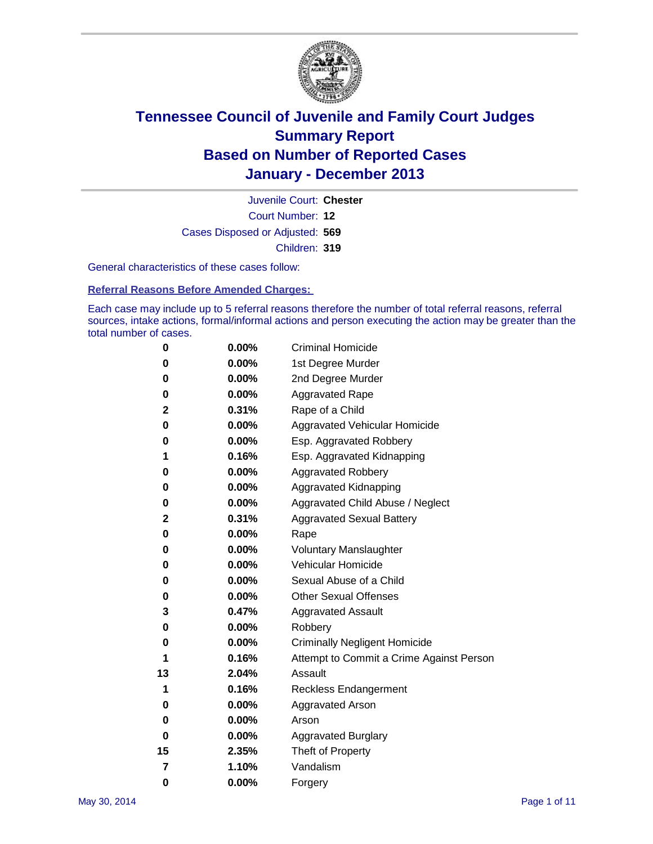

Court Number: **12** Juvenile Court: **Chester** Cases Disposed or Adjusted: **569** Children: **319**

General characteristics of these cases follow:

**Referral Reasons Before Amended Charges:** 

Each case may include up to 5 referral reasons therefore the number of total referral reasons, referral sources, intake actions, formal/informal actions and person executing the action may be greater than the total number of cases.

| 0        | 0.00%    | <b>Criminal Homicide</b>                 |
|----------|----------|------------------------------------------|
| 0        | 0.00%    | 1st Degree Murder                        |
| 0        | 0.00%    | 2nd Degree Murder                        |
| 0        | $0.00\%$ | <b>Aggravated Rape</b>                   |
| 2        | 0.31%    | Rape of a Child                          |
| 0        | 0.00%    | <b>Aggravated Vehicular Homicide</b>     |
| 0        | 0.00%    | Esp. Aggravated Robbery                  |
| 1        | 0.16%    | Esp. Aggravated Kidnapping               |
| 0        | 0.00%    | <b>Aggravated Robbery</b>                |
| 0        | 0.00%    | Aggravated Kidnapping                    |
| 0        | 0.00%    | Aggravated Child Abuse / Neglect         |
| 2        | 0.31%    | <b>Aggravated Sexual Battery</b>         |
| 0        | 0.00%    | Rape                                     |
| 0        | 0.00%    | <b>Voluntary Manslaughter</b>            |
| 0        | 0.00%    | Vehicular Homicide                       |
| 0        | $0.00\%$ | Sexual Abuse of a Child                  |
| 0        | 0.00%    | <b>Other Sexual Offenses</b>             |
| 3        | 0.47%    | <b>Aggravated Assault</b>                |
| 0        | 0.00%    | Robbery                                  |
| 0        | 0.00%    | <b>Criminally Negligent Homicide</b>     |
| 1        | 0.16%    | Attempt to Commit a Crime Against Person |
| 13       | 2.04%    | Assault                                  |
| 1        | 0.16%    | <b>Reckless Endangerment</b>             |
| 0        | 0.00%    | <b>Aggravated Arson</b>                  |
| 0        | 0.00%    | Arson                                    |
| 0        | 0.00%    | <b>Aggravated Burglary</b>               |
| 15       | 2.35%    | Theft of Property                        |
| 7        | 1.10%    | Vandalism                                |
| $\bf{0}$ | 0.00%    | Forgery                                  |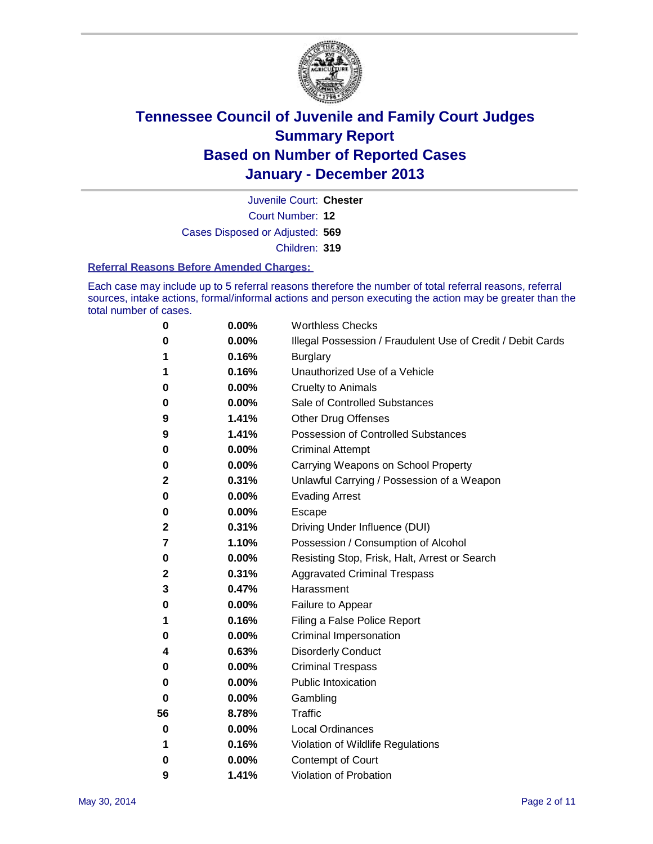

Court Number: **12** Juvenile Court: **Chester** Cases Disposed or Adjusted: **569** Children: **319**

#### **Referral Reasons Before Amended Charges:**

Each case may include up to 5 referral reasons therefore the number of total referral reasons, referral sources, intake actions, formal/informal actions and person executing the action may be greater than the total number of cases.

| 0  | 0.00% | <b>Worthless Checks</b>                                     |
|----|-------|-------------------------------------------------------------|
| 0  | 0.00% | Illegal Possession / Fraudulent Use of Credit / Debit Cards |
| 1  | 0.16% | <b>Burglary</b>                                             |
| 1  | 0.16% | Unauthorized Use of a Vehicle                               |
| 0  | 0.00% | <b>Cruelty to Animals</b>                                   |
| 0  | 0.00% | Sale of Controlled Substances                               |
| 9  | 1.41% | <b>Other Drug Offenses</b>                                  |
| 9  | 1.41% | <b>Possession of Controlled Substances</b>                  |
| 0  | 0.00% | <b>Criminal Attempt</b>                                     |
| 0  | 0.00% | Carrying Weapons on School Property                         |
| 2  | 0.31% | Unlawful Carrying / Possession of a Weapon                  |
| 0  | 0.00% | <b>Evading Arrest</b>                                       |
| 0  | 0.00% | Escape                                                      |
| 2  | 0.31% | Driving Under Influence (DUI)                               |
| 7  | 1.10% | Possession / Consumption of Alcohol                         |
| 0  | 0.00% | Resisting Stop, Frisk, Halt, Arrest or Search               |
| 2  | 0.31% | <b>Aggravated Criminal Trespass</b>                         |
| 3  | 0.47% | Harassment                                                  |
| 0  | 0.00% | Failure to Appear                                           |
| 1  | 0.16% | Filing a False Police Report                                |
| 0  | 0.00% | Criminal Impersonation                                      |
| 4  | 0.63% | <b>Disorderly Conduct</b>                                   |
| 0  | 0.00% | <b>Criminal Trespass</b>                                    |
| 0  | 0.00% | <b>Public Intoxication</b>                                  |
| 0  | 0.00% | Gambling                                                    |
| 56 | 8.78% | <b>Traffic</b>                                              |
| 0  | 0.00% | Local Ordinances                                            |
| 1  | 0.16% | Violation of Wildlife Regulations                           |
| 0  | 0.00% | Contempt of Court                                           |
| 9  | 1.41% | <b>Violation of Probation</b>                               |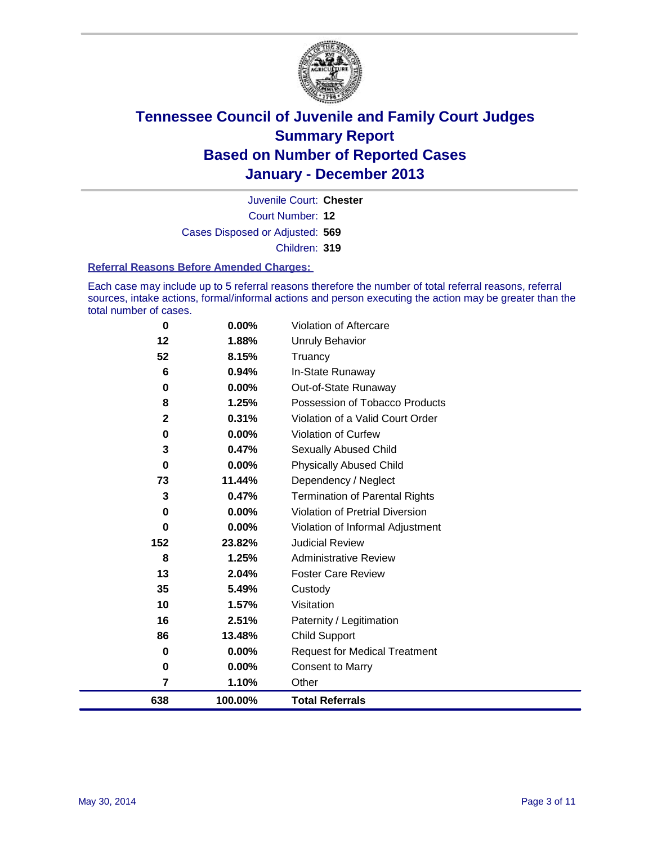

Court Number: **12** Juvenile Court: **Chester** Cases Disposed or Adjusted: **569** Children: **319**

#### **Referral Reasons Before Amended Charges:**

Each case may include up to 5 referral reasons therefore the number of total referral reasons, referral sources, intake actions, formal/informal actions and person executing the action may be greater than the total number of cases.

| 0            | $0.00\%$ | <b>Violation of Aftercare</b>          |
|--------------|----------|----------------------------------------|
| 12           | 1.88%    | <b>Unruly Behavior</b>                 |
| 52           | 8.15%    | Truancy                                |
| 6            | 0.94%    | In-State Runaway                       |
| 0            | $0.00\%$ | Out-of-State Runaway                   |
| 8            | 1.25%    | Possession of Tobacco Products         |
| $\mathbf{2}$ | 0.31%    | Violation of a Valid Court Order       |
| 0            | $0.00\%$ | <b>Violation of Curfew</b>             |
| 3            | 0.47%    | Sexually Abused Child                  |
| 0            | 0.00%    | <b>Physically Abused Child</b>         |
| 73           | 11.44%   | Dependency / Neglect                   |
| 3            | 0.47%    | <b>Termination of Parental Rights</b>  |
| 0            | $0.00\%$ | <b>Violation of Pretrial Diversion</b> |
| 0            | 0.00%    | Violation of Informal Adjustment       |
| 152          | 23.82%   | <b>Judicial Review</b>                 |
| 8            | 1.25%    | <b>Administrative Review</b>           |
| 13           | 2.04%    | <b>Foster Care Review</b>              |
| 35           | 5.49%    | Custody                                |
| 10           | 1.57%    | Visitation                             |
| 16           | 2.51%    | Paternity / Legitimation               |
| 86           | 13.48%   | <b>Child Support</b>                   |
| 0            | 0.00%    | <b>Request for Medical Treatment</b>   |
| 0            | 0.00%    | <b>Consent to Marry</b>                |
| 7            | 1.10%    | Other                                  |
| 638          | 100.00%  | <b>Total Referrals</b>                 |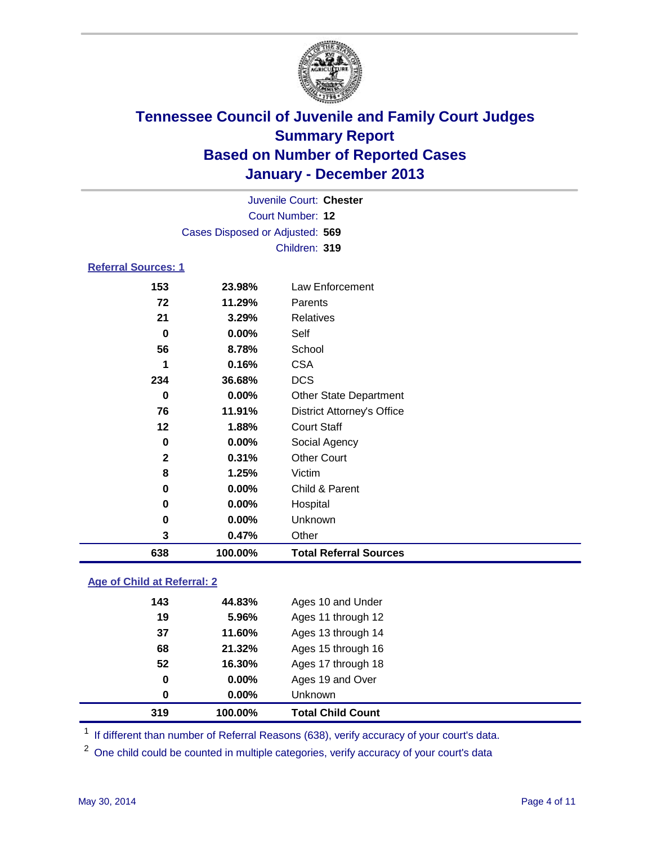

|                            | Juvenile Court: Chester         |                                   |  |  |  |
|----------------------------|---------------------------------|-----------------------------------|--|--|--|
|                            | Court Number: 12                |                                   |  |  |  |
|                            | Cases Disposed or Adjusted: 569 |                                   |  |  |  |
|                            |                                 | Children: 319                     |  |  |  |
| <b>Referral Sources: 1</b> |                                 |                                   |  |  |  |
| 153                        | 23.98%                          | Law Enforcement                   |  |  |  |
| 72                         | 11.29%                          | Parents                           |  |  |  |
| 21                         | 3.29%                           | <b>Relatives</b>                  |  |  |  |
| $\bf{0}$                   | 0.00%                           | Self                              |  |  |  |
| 56                         | 8.78%                           | School                            |  |  |  |
| 1                          | 0.16%                           | <b>CSA</b>                        |  |  |  |
| 234                        | 36.68%                          | <b>DCS</b>                        |  |  |  |
| 0                          | 0.00%                           | <b>Other State Department</b>     |  |  |  |
| 76                         | 11.91%                          | <b>District Attorney's Office</b> |  |  |  |
| 12                         | 1.88%                           | <b>Court Staff</b>                |  |  |  |
| $\bf{0}$                   | 0.00%                           | Social Agency                     |  |  |  |
| $\mathbf{2}$               | 0.31%                           | <b>Other Court</b>                |  |  |  |
| 8                          | 1.25%                           | Victim                            |  |  |  |
| 0                          | 0.00%                           | Child & Parent                    |  |  |  |
| 0                          | 0.00%                           | Hospital                          |  |  |  |
| 0                          | 0.00%                           | Unknown                           |  |  |  |
| 3                          | 0.47%                           | Other                             |  |  |  |
| 638                        | 100.00%                         | <b>Total Referral Sources</b>     |  |  |  |

### **Age of Child at Referral: 2**

| <b>Total Child Count</b> | 319<br>100.00% |  |
|--------------------------|----------------|--|
|                          | 0<br>0.00%     |  |
| Ages 19 and Over         | 0<br>$0.00\%$  |  |
| Ages 17 through 18       | 52<br>16.30%   |  |
| Ages 15 through 16       | 68<br>21.32%   |  |
| Ages 13 through 14       | 37<br>11.60%   |  |
| Ages 11 through 12       | 19<br>5.96%    |  |
| Ages 10 and Under        | 143<br>44.83%  |  |
|                          |                |  |

<sup>1</sup> If different than number of Referral Reasons (638), verify accuracy of your court's data.

<sup>2</sup> One child could be counted in multiple categories, verify accuracy of your court's data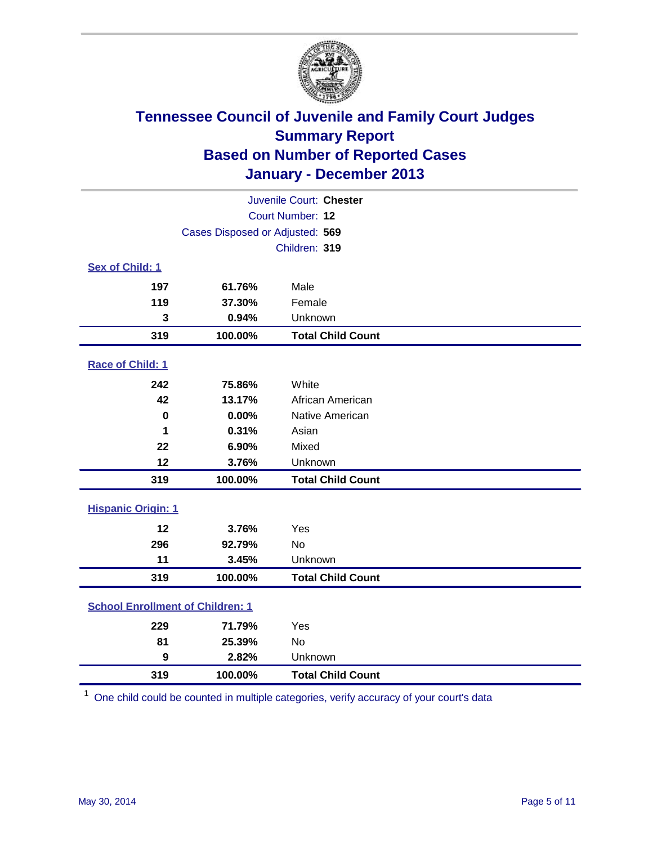

| Juvenile Court: Chester                 |                                 |                          |  |  |
|-----------------------------------------|---------------------------------|--------------------------|--|--|
|                                         | Court Number: 12                |                          |  |  |
|                                         | Cases Disposed or Adjusted: 569 |                          |  |  |
|                                         |                                 | Children: 319            |  |  |
| Sex of Child: 1                         |                                 |                          |  |  |
| 197                                     | 61.76%                          | Male                     |  |  |
| 119                                     | 37.30%                          | Female                   |  |  |
| 3                                       | 0.94%                           | Unknown                  |  |  |
| 319                                     | 100.00%                         | <b>Total Child Count</b> |  |  |
| Race of Child: 1                        |                                 |                          |  |  |
| 242                                     | 75.86%                          | White                    |  |  |
| 42                                      | 13.17%                          | African American         |  |  |
| 0                                       | 0.00%                           | Native American          |  |  |
| 1                                       | 0.31%                           | Asian                    |  |  |
| 22                                      | 6.90%                           | Mixed                    |  |  |
| 12                                      | 3.76%                           | Unknown                  |  |  |
| 319                                     | 100.00%                         | <b>Total Child Count</b> |  |  |
| <b>Hispanic Origin: 1</b>               |                                 |                          |  |  |
| 12                                      | 3.76%                           | Yes                      |  |  |
| 296                                     | 92.79%                          | <b>No</b>                |  |  |
| 11                                      | 3.45%                           | Unknown                  |  |  |
| 319                                     | 100.00%                         | <b>Total Child Count</b> |  |  |
| <b>School Enrollment of Children: 1</b> |                                 |                          |  |  |
| 229                                     | 71.79%                          | Yes                      |  |  |
| 81                                      | 25.39%                          | <b>No</b>                |  |  |
| $\boldsymbol{9}$                        | 2.82%                           | Unknown                  |  |  |
| 319                                     | 100.00%                         | <b>Total Child Count</b> |  |  |

One child could be counted in multiple categories, verify accuracy of your court's data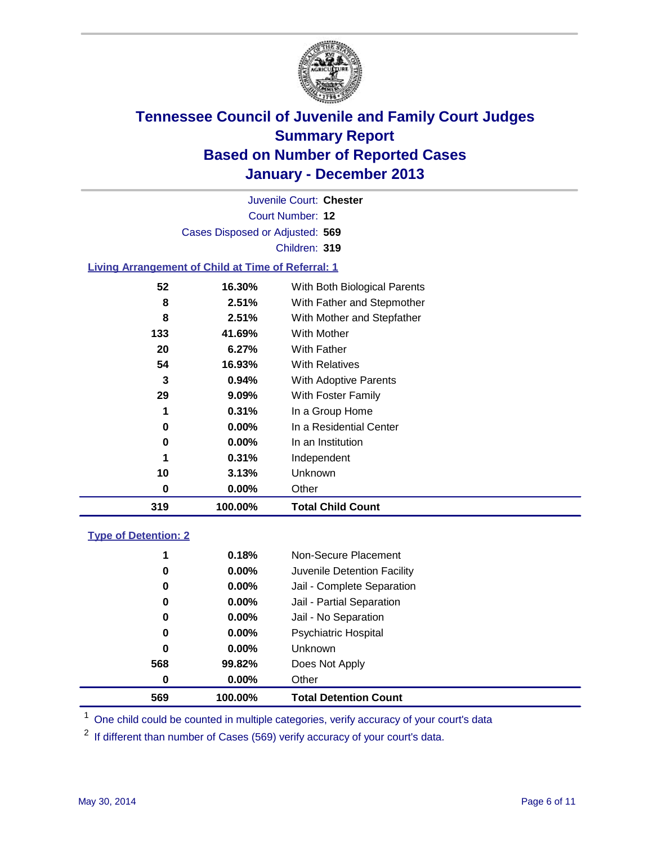

Court Number: **12** Juvenile Court: **Chester** Cases Disposed or Adjusted: **569** Children: **319**

### **Living Arrangement of Child at Time of Referral: 1**

| 319 | 100.00%  | <b>Total Child Count</b>     |
|-----|----------|------------------------------|
| 0   | 0.00%    | Other                        |
| 10  | 3.13%    | Unknown                      |
| 1   | 0.31%    | Independent                  |
| 0   | 0.00%    | In an Institution            |
| 0   | $0.00\%$ | In a Residential Center      |
| 1   | 0.31%    | In a Group Home              |
| 29  | 9.09%    | With Foster Family           |
| 3   | 0.94%    | <b>With Adoptive Parents</b> |
| 54  | 16.93%   | <b>With Relatives</b>        |
| 20  | 6.27%    | With Father                  |
| 133 | 41.69%   | With Mother                  |
| 8   | 2.51%    | With Mother and Stepfather   |
| 8   | 2.51%    | With Father and Stepmother   |
| 52  | 16.30%   | With Both Biological Parents |
|     |          |                              |

#### **Type of Detention: 2**

| 569 | 100.00%  | <b>Total Detention Count</b> |  |
|-----|----------|------------------------------|--|
| 0   | $0.00\%$ | Other                        |  |
| 568 | 99.82%   | Does Not Apply               |  |
| 0   | $0.00\%$ | <b>Unknown</b>               |  |
| 0   | $0.00\%$ | <b>Psychiatric Hospital</b>  |  |
| 0   | 0.00%    | Jail - No Separation         |  |
| 0   | 0.00%    | Jail - Partial Separation    |  |
| 0   | 0.00%    | Jail - Complete Separation   |  |
| 0   | 0.00%    | Juvenile Detention Facility  |  |
| 1   | 0.18%    | Non-Secure Placement         |  |
|     |          |                              |  |

<sup>1</sup> One child could be counted in multiple categories, verify accuracy of your court's data

If different than number of Cases (569) verify accuracy of your court's data.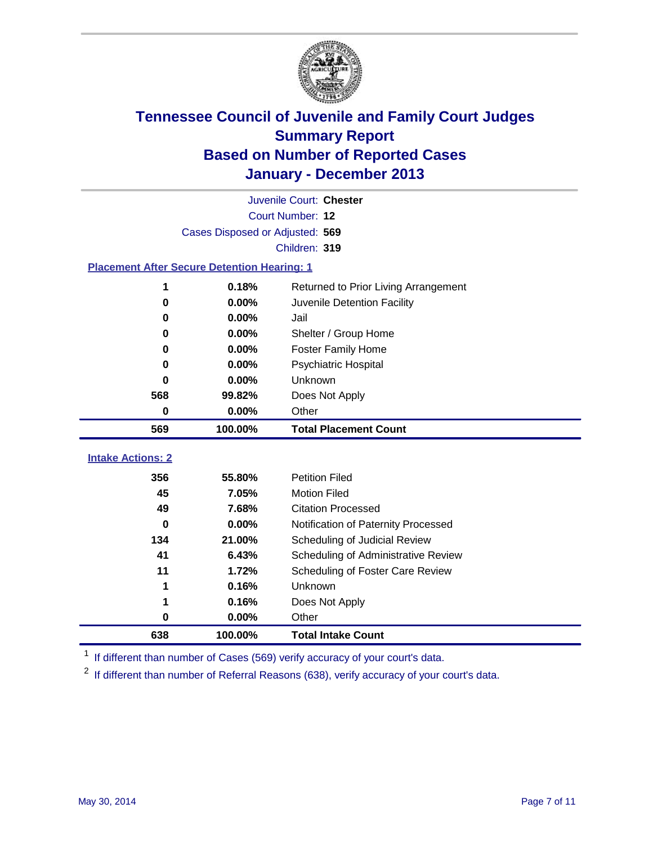

|                                                    | Juvenile Court: Chester         |                                      |  |  |  |
|----------------------------------------------------|---------------------------------|--------------------------------------|--|--|--|
|                                                    | Court Number: 12                |                                      |  |  |  |
|                                                    | Cases Disposed or Adjusted: 569 |                                      |  |  |  |
|                                                    |                                 | Children: 319                        |  |  |  |
| <b>Placement After Secure Detention Hearing: 1</b> |                                 |                                      |  |  |  |
| 1                                                  | 0.18%                           | Returned to Prior Living Arrangement |  |  |  |
| 0                                                  | $0.00\%$                        | Juvenile Detention Facility          |  |  |  |
| 0                                                  | 0.00%                           | Jail                                 |  |  |  |
| 0                                                  | 0.00%                           | Shelter / Group Home                 |  |  |  |
| 0                                                  | 0.00%                           | <b>Foster Family Home</b>            |  |  |  |
| 0                                                  | 0.00%                           | <b>Psychiatric Hospital</b>          |  |  |  |
| U                                                  | 0.00%                           | Unknown                              |  |  |  |
| 568                                                | 99.82%                          | Does Not Apply                       |  |  |  |
| 0                                                  | $0.00\%$                        | Other                                |  |  |  |
| 569                                                | 100.00%                         | <b>Total Placement Count</b>         |  |  |  |
| <b>Intake Actions: 2</b>                           |                                 |                                      |  |  |  |
|                                                    |                                 |                                      |  |  |  |
| 356                                                | 55.80%                          | <b>Petition Filed</b>                |  |  |  |
| 45                                                 | 7.05%                           | <b>Motion Filed</b>                  |  |  |  |
| 49                                                 | 7.68%                           | <b>Citation Processed</b>            |  |  |  |
| 0                                                  | 0.00%                           | Notification of Paternity Processed  |  |  |  |
| 134                                                | 21.00%                          | Scheduling of Judicial Review        |  |  |  |
| 41                                                 | 6.43%                           | Scheduling of Administrative Review  |  |  |  |
| 11                                                 | 1.72%                           | Scheduling of Foster Care Review     |  |  |  |
| 1                                                  | 0.16%                           | Unknown                              |  |  |  |
| 1                                                  | 0.16%                           | Does Not Apply                       |  |  |  |
| 0                                                  | 0.00%                           | Other                                |  |  |  |
| 638                                                | 100.00%                         | <b>Total Intake Count</b>            |  |  |  |

<sup>1</sup> If different than number of Cases (569) verify accuracy of your court's data.

<sup>2</sup> If different than number of Referral Reasons (638), verify accuracy of your court's data.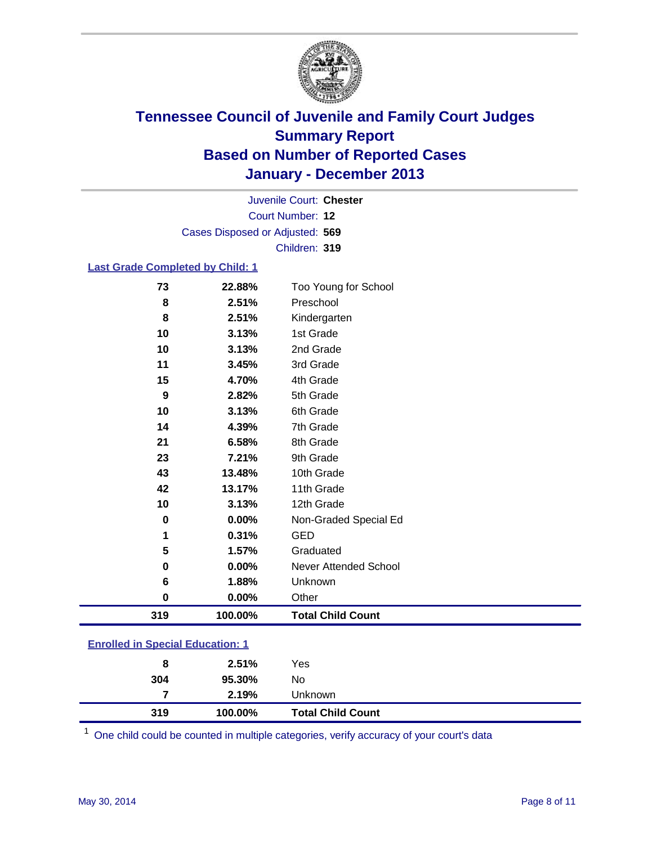

Court Number: **12** Juvenile Court: **Chester** Cases Disposed or Adjusted: **569** Children: **319**

#### **Last Grade Completed by Child: 1**

| 73       | 22.88%   | Too Young for School     |
|----------|----------|--------------------------|
| 8        | 2.51%    | Preschool                |
| 8        | 2.51%    | Kindergarten             |
| 10       | 3.13%    | 1st Grade                |
| 10       | 3.13%    | 2nd Grade                |
| 11       | 3.45%    | 3rd Grade                |
| 15       | 4.70%    | 4th Grade                |
| 9        | 2.82%    | 5th Grade                |
| 10       | 3.13%    | 6th Grade                |
| 14       | 4.39%    | 7th Grade                |
| 21       | 6.58%    | 8th Grade                |
| 23       | 7.21%    | 9th Grade                |
| 43       | 13.48%   | 10th Grade               |
| 42       | 13.17%   | 11th Grade               |
| 10       | 3.13%    | 12th Grade               |
| 0        | $0.00\%$ | Non-Graded Special Ed    |
| 1        | 0.31%    | <b>GED</b>               |
| 5        | 1.57%    | Graduated                |
| 0        | 0.00%    | Never Attended School    |
| 6        | 1.88%    | Unknown                  |
| $\bf{0}$ | 0.00%    | Other                    |
| 319      | 100.00%  | <b>Total Child Count</b> |

| <b>Enrolled in Special Education: 1</b> |  |  |
|-----------------------------------------|--|--|
|                                         |  |  |

| 8        | 2.51%           | Yes                      |
|----------|-----------------|--------------------------|
| 304<br>7 | 95.30%<br>2.19% | No<br>Unknown            |
| 319      | 100.00%         | <b>Total Child Count</b> |

One child could be counted in multiple categories, verify accuracy of your court's data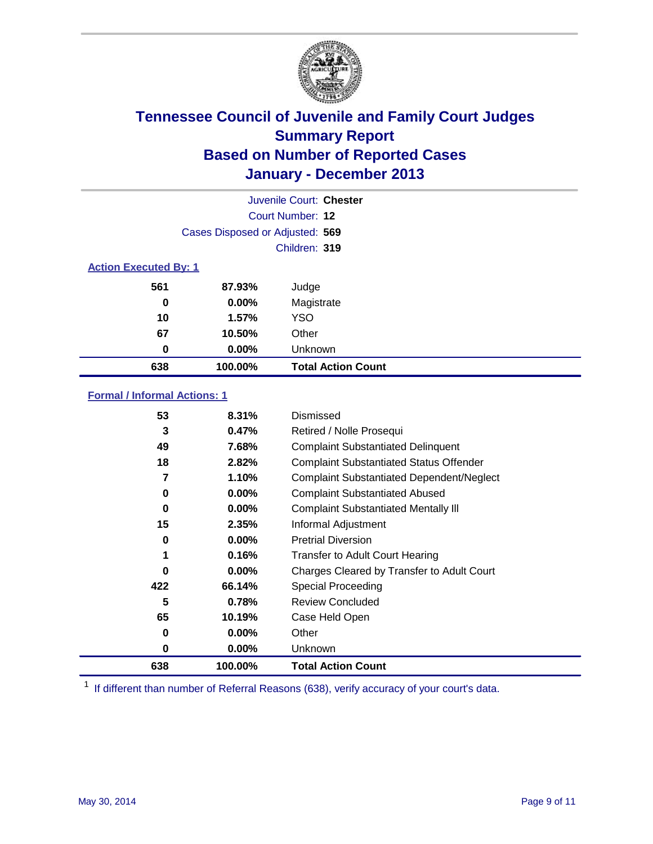

|                              |                                 | Juvenile Court: Chester   |
|------------------------------|---------------------------------|---------------------------|
|                              |                                 | Court Number: 12          |
|                              | Cases Disposed or Adjusted: 569 |                           |
|                              |                                 | Children: 319             |
| <b>Action Executed By: 1</b> |                                 |                           |
| 561                          | 87.93%                          | Judge                     |
| 0                            | $0.00\%$                        | Magistrate                |
| 10                           | 1.57%                           | <b>YSO</b>                |
| 67                           | 10.50%                          | Other                     |
| 0                            | $0.00\%$                        | Unknown                   |
| 638                          | 100.00%                         | <b>Total Action Count</b> |

### **Formal / Informal Actions: 1**

| 53  | 8.31%    | Dismissed                                        |
|-----|----------|--------------------------------------------------|
| 3   | 0.47%    | Retired / Nolle Prosequi                         |
| 49  | 7.68%    | <b>Complaint Substantiated Delinquent</b>        |
| 18  | 2.82%    | <b>Complaint Substantiated Status Offender</b>   |
| 7   | 1.10%    | <b>Complaint Substantiated Dependent/Neglect</b> |
| 0   | $0.00\%$ | <b>Complaint Substantiated Abused</b>            |
| 0   | $0.00\%$ | <b>Complaint Substantiated Mentally III</b>      |
| 15  | 2.35%    | Informal Adjustment                              |
| 0   | $0.00\%$ | <b>Pretrial Diversion</b>                        |
| 1   | 0.16%    | <b>Transfer to Adult Court Hearing</b>           |
| 0   | $0.00\%$ | Charges Cleared by Transfer to Adult Court       |
| 422 | 66.14%   | Special Proceeding                               |
| 5   | 0.78%    | <b>Review Concluded</b>                          |
| 65  | 10.19%   | Case Held Open                                   |
| 0   | $0.00\%$ | Other                                            |
| 0   | $0.00\%$ | Unknown                                          |
| 638 | 100.00%  | <b>Total Action Count</b>                        |

<sup>1</sup> If different than number of Referral Reasons (638), verify accuracy of your court's data.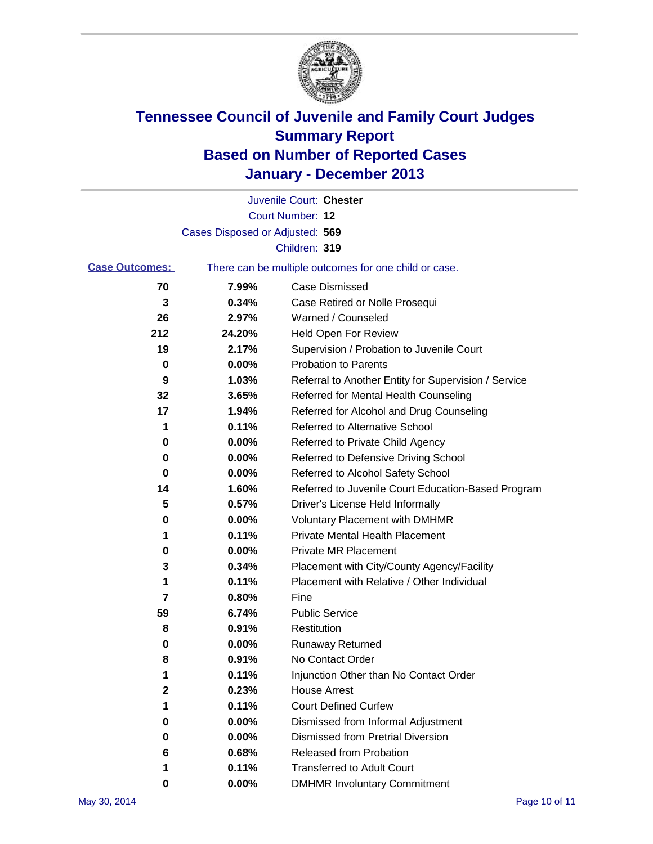

|                       |                                 | Juvenile Court: Chester                               |
|-----------------------|---------------------------------|-------------------------------------------------------|
|                       |                                 | Court Number: 12                                      |
|                       | Cases Disposed or Adjusted: 569 |                                                       |
|                       |                                 | Children: 319                                         |
| <b>Case Outcomes:</b> |                                 | There can be multiple outcomes for one child or case. |
| 70                    | 7.99%                           | Case Dismissed                                        |
| 3                     | 0.34%                           | Case Retired or Nolle Prosequi                        |
| 26                    | 2.97%                           | Warned / Counseled                                    |
| 212                   | 24.20%                          | Held Open For Review                                  |
| 19                    | 2.17%                           | Supervision / Probation to Juvenile Court             |
| 0                     | 0.00%                           | <b>Probation to Parents</b>                           |
| 9                     | 1.03%                           | Referral to Another Entity for Supervision / Service  |
| 32                    | 3.65%                           | Referred for Mental Health Counseling                 |
| 17                    | 1.94%                           | Referred for Alcohol and Drug Counseling              |
| 1                     | 0.11%                           | <b>Referred to Alternative School</b>                 |
| 0                     | 0.00%                           | Referred to Private Child Agency                      |
| 0                     | 0.00%                           | Referred to Defensive Driving School                  |
| 0                     | 0.00%                           | Referred to Alcohol Safety School                     |
| 14                    | 1.60%                           | Referred to Juvenile Court Education-Based Program    |
| 5                     | 0.57%                           | Driver's License Held Informally                      |
| 0                     | 0.00%                           | <b>Voluntary Placement with DMHMR</b>                 |
| 1                     | 0.11%                           | <b>Private Mental Health Placement</b>                |
| 0                     | 0.00%                           | <b>Private MR Placement</b>                           |
| 3                     | 0.34%                           | Placement with City/County Agency/Facility            |
| 1                     | 0.11%                           | Placement with Relative / Other Individual            |
| 7                     | 0.80%                           | Fine                                                  |
| 59                    | 6.74%                           | <b>Public Service</b>                                 |
| 8                     | 0.91%                           | Restitution                                           |
| 0                     | 0.00%                           | <b>Runaway Returned</b>                               |
| 8                     | 0.91%                           | No Contact Order                                      |
| 1.                    | 0.11%                           | Injunction Other than No Contact Order                |
| 2                     | 0.23%                           | <b>House Arrest</b>                                   |
| 1                     | 0.11%                           | <b>Court Defined Curfew</b>                           |
| 0                     | 0.00%                           | Dismissed from Informal Adjustment                    |
| 0                     | 0.00%                           | <b>Dismissed from Pretrial Diversion</b>              |
| 6                     | 0.68%                           | Released from Probation                               |
| 1                     | 0.11%                           | <b>Transferred to Adult Court</b>                     |
| 0                     | $0.00\%$                        | <b>DMHMR Involuntary Commitment</b>                   |